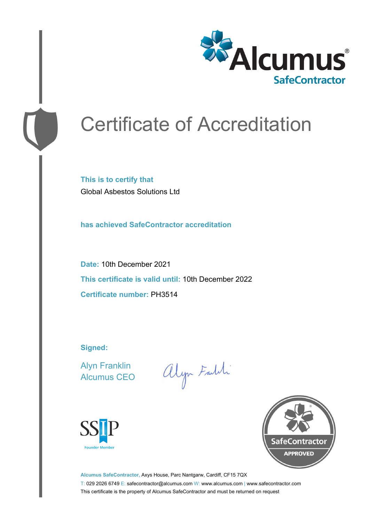

# Certificate of Accreditation

**This is to certify that** Global Asbestos Solutions Ltd

**has achieved SafeContractor accreditation**

**Date:** 10th December 2021 **This certificate is valid until:** 10th December 2022 **Certificate number:** PH3514

**Signed:**

Alyn Franklin Alcumus CEO

alyn Faith





**Alcumus SafeContractor,** Axys House, Parc Nantgarw, Cardiff, CF15 7QX T: 029 2026 6749 E: safecontractor@alcumus.com W: www.alcumus.com | www.safecontractor.com This certificate is the property of Alcumus SafeContractor and must be returned on request